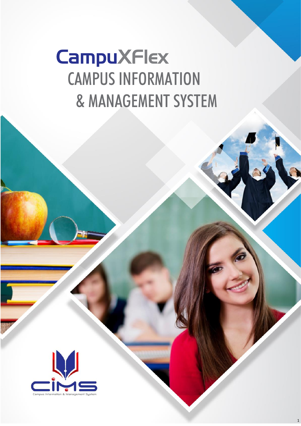# **CampuXFlex** CAMPUS INFORMATION & MANAGEMENT SYSTEM

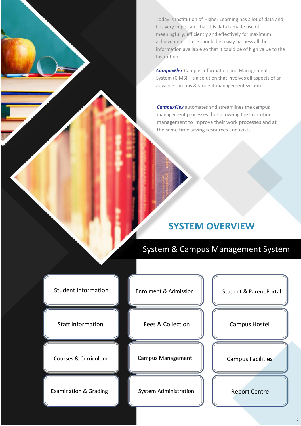Today 's Institution of Higher Learning has a lot of data and it is very important that this data is made use of meaningfully, efficiently and effectively for maximum achievement. There should be a way harness all the information available so that it could be of high value to the Institution.

*CampuxFlex* Campus Information and Management System (CIMS) - is a solution that involves all aspects of an advance campus & student management system.

*CampuxFlex* automates and streamlines the campus management processes thus allow-ing the Institution management to improve their work processes and at the same time saving resources and costs.

# **SYSTEM OVERVIEW**

System & Campus Management System

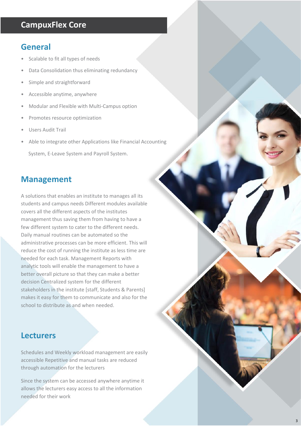## **CampuxFlex Core**

## **General**

- Scalable to fit all types of needs
- Data Consolidation thus eliminating redundancy
- Simple and straightforward
- Accessible anytime, anywhere
- Modular and Flexible with Multi-Campus option
- Promotes resource optimization
- Users Audit Trail
- Able to integrate other Applications like Financial Accounting System, E-Leave System and Payroll System.

## **Management**

A solutions that enables an institute to manages all its students and campus needs Different modules available covers all the different aspects of the institutes management thus saving them from having to have a few different system to cater to the different needs. Daily manual routines can be automated so the administrative processes can be more efficient. This will reduce the cost of running the institute as less time are needed for each task. Management Reports with analytic tools will enable the management to have a better overall picture so that they can make a better decision Centralized system for the different stakeholders in the institute [staff, Students & Parents] makes it easy for them to communicate and also for the school to distribute as and when needed.

## **Lecturers**

Schedules and Weekly workload management are easily accessible Repetitive and manual tasks are reduced through automation for the lecturers

Since the system can be accessed anywhere anytime it allows the lecturers easy access to all the information needed for their work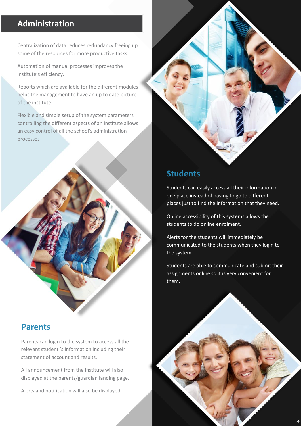# **Administration**

Centralization of data reduces redundancy freeing up some of the resources for more productive tasks.

Automation of manual processes improves the institute's efficiency.

Reports which are available for the different modules helps the management to have an up to date picture of the institute.

Flexible and simple setup of the system parameters controlling the different aspects of an institute allows an easy control of all the school's administration processes

## **Parents**

Parents can login to the system to access all the relevant student 's information including their statement of account and results.

All announcement from the institute will also displayed at the parents/guardian landing page.

Alerts and notification will also be displayed



## **Students**

Students can easily access all their information in one place instead of having to go to different places just to find the information that they need.

Online accessibility of this systems allows the students to do online enrolment.

Alerts for the students will immediately be communicated to the students when they login to the system.

Students are able to communicate and submit their assignments online so it is very convenient for them.

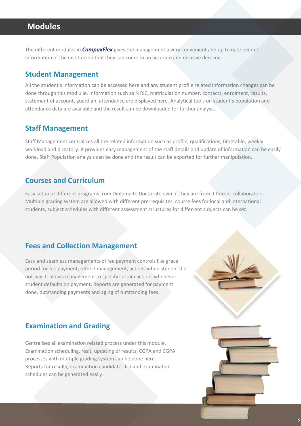# **Modules**

The different modules in *CampuxFlex* gives the management a very convenient and up to date overall information of the institute so that they can come to an accurate and decisive decision.

#### **Student Management**

All the student's information can be accessed here and any student profile related information changes can be done through this mod u le. Information such as N RIC, matriculation number, contacts, enrolment, results, statement of account, guardian, attendance are displayed here. Analytical tools on student's population and attendance data are available and the result can be downloaded for further analysis.

#### **Staff Management**

Staff Management centralizes all the related information such as profile, qualifications, timetable, weekly workload and directory. It provides easy management of the staff details and update of information can be easily done. Staff Population analysis can be done and the result can be exported for further manipulation.

#### **Courses and Curriculum**

Easy setup of different programs from Diploma to Doctorate even if they are from different collaborators. Multiple grading system are allowed with different pre-requisites, course fees for local and international students, subject schedules with different assessment structures for differ-ent subjects can be set.

### **Fees and Collection Management**

Easy and seamless managements of fee payment controls like grace period for fee payment, refund management, actions when student did not pay. It allows management to specify certain actions whenever student defaults on payment. Reports are generated for payment done, outstanding payments and aging of outstanding fees.

## **Examination and Grading**

Centralises all examination related process under this module. Examination scheduling, resit, updating of results, CGPA and CGPA processes with multiple grading system can be done here. Reports for results, examination candidates list and examination schedules can be generated easily.